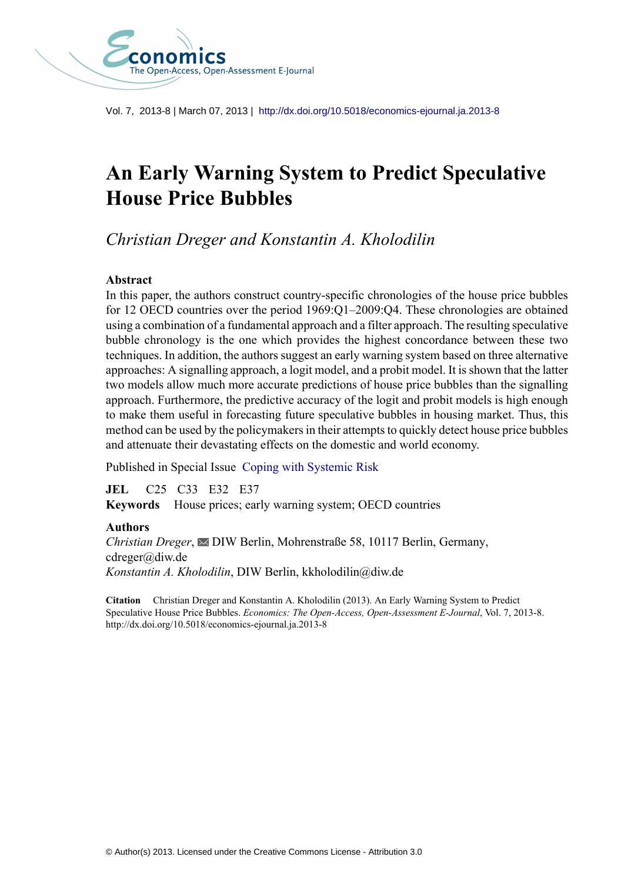

Vol. 7, 2013-8 | March 07, 2013 | <http://dx.doi.org/10.5018/economics-ejournal.ja.2013-8>

# **An Early Warning System to Predict Speculative House Price Bubbles**

*Christian Dreger and Konstantin A. Kholodilin*

### **Abstract**

In this paper, the authors construct country-specific chronologies of the house price bubbles for 12 OECD countries over the period 1969:Q1–2009:Q4. These chronologies are obtained using a combination of a fundamental approach and a filter approach. The resulting speculative bubble chronology is the one which provides the highest concordance between these two techniques. In addition, the authors suggest an early warning system based on three alternative approaches: A signalling approach, a logit model, and a probit model. It is shown that the latter two models allow much more accurate predictions of house price bubbles than the signalling approach. Furthermore, the predictive accuracy of the logit and probit models is high enough to make them useful in forecasting future speculative bubbles in housing market. Thus, this method can be used by the policymakers in their attempts to quickly detect house price bubbles and attenuate their devastating effects on the domestic and world economy.

Published in Special Issue [Coping with Systemic Risk](http://www.economics-ejournal.org/special-areas/special-issues/coping-with-systemic-risk)

**JEL** C25 C33 E32 E37 **Keywords** House prices; early warning system; OECD countries

### **Authors**

*Christian Dreger*, **≥DIW Berlin, Mohrenstraße 58, 10117 Berlin, Germany,** cdreger@diw.de *Konstantin A. Kholodilin*, DIW Berlin, kkholodilin@diw.de

**Citation** Christian Dreger and Konstantin A. Kholodilin (2013). An Early Warning System to Predict Speculative House Price Bubbles. *Economics: The Open-Access, Open-Assessment E-Journal*, Vol. 7, 2013-8. http://dx.doi.org/10.5018/economics-ejournal.ja.2013-8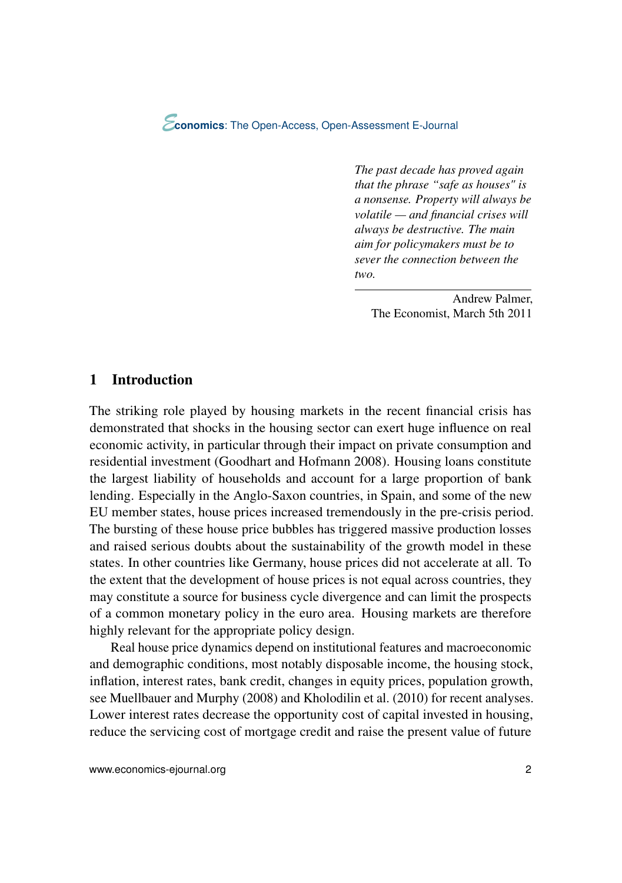*The past decade has proved again that the phrase "safe as houses" is a nonsense. Property will always be volatile — and financial crises will always be destructive. The main aim for policymakers must be to sever the connection between the two.*

Andrew Palmer, The Economist, March 5th 2011

### 1 Introduction

The striking role played by housing markets in the recent financial crisis has demonstrated that shocks in the housing sector can exert huge influence on real economic activity, in particular through their impact on private consumption and residential investment [\(Goodhart and Hofmann](#page-24-0) [2008\)](#page-24-0). Housing loans constitute the largest liability of households and account for a large proportion of bank lending. Especially in the Anglo-Saxon countries, in Spain, and some of the new EU member states, house prices increased tremendously in the pre-crisis period. The bursting of these house price bubbles has triggered massive production losses and raised serious doubts about the sustainability of the growth model in these states. In other countries like Germany, house prices did not accelerate at all. To the extent that the development of house prices is not equal across countries, they may constitute a source for business cycle divergence and can limit the prospects of a common monetary policy in the euro area. Housing markets are therefore highly relevant for the appropriate policy design.

Real house price dynamics depend on institutional features and macroeconomic and demographic conditions, most notably disposable income, the housing stock, inflation, interest rates, bank credit, changes in equity prices, population growth, see [Muellbauer and Murphy](#page-25-0) [\(2008\)](#page-25-0) and [Kholodilin et al.](#page-24-0) [\(2010\)](#page-24-0) for recent analyses. Lower interest rates decrease the opportunity cost of capital invested in housing, reduce the servicing cost of mortgage credit and raise the present value of future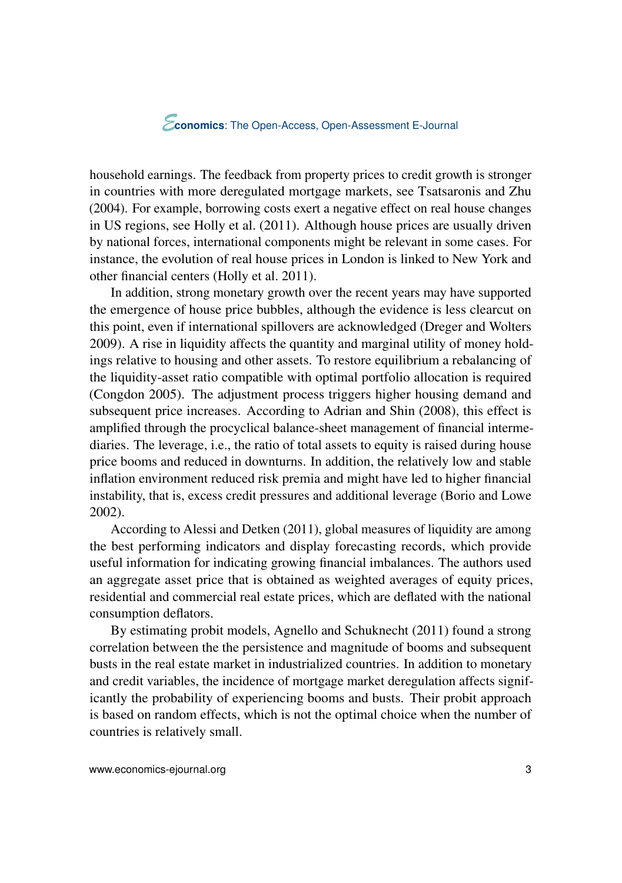household earnings. The feedback from property prices to credit growth is stronger in countries with more deregulated mortgage markets, see [Tsatsaronis and Zhu](#page-25-0) [\(2004\)](#page-25-0). For example, borrowing costs exert a negative effect on real house changes in US regions, see [Holly et al.](#page-24-0) [\(2011\)](#page-24-0). Although house prices are usually driven by national forces, international components might be relevant in some cases. For instance, the evolution of real house prices in London is linked to New York and other financial centers [\(Holly et al.](#page-24-0) [2011\)](#page-24-0).

In addition, strong monetary growth over the recent years may have supported the emergence of house price bubbles, although the evidence is less clearcut on this point, even if international spillovers are acknowledged [\(Dreger and Wolters](#page-23-0) [2009\)](#page-23-0). A rise in liquidity affects the quantity and marginal utility of money holdings relative to housing and other assets. To restore equilibrium a rebalancing of the liquidity-asset ratio compatible with optimal portfolio allocation is required [\(Congdon](#page-23-0) [2005\)](#page-23-0). The adjustment process triggers higher housing demand and subsequent price increases. According to [Adrian and Shin](#page-21-0) [\(2008\)](#page-21-0), this effect is amplified through the procyclical balance-sheet management of financial intermediaries. The leverage, i.e., the ratio of total assets to equity is raised during house price booms and reduced in downturns. In addition, the relatively low and stable inflation environment reduced risk premia and might have led to higher financial instability, that is, excess credit pressures and additional leverage [\(Borio and Lowe](#page-22-0) [2002\)](#page-22-0).

According to [Alessi and Detken](#page-22-0) [\(2011\)](#page-22-0), global measures of liquidity are among the best performing indicators and display forecasting records, which provide useful information for indicating growing financial imbalances. The authors used an aggregate asset price that is obtained as weighted averages of equity prices, residential and commercial real estate prices, which are deflated with the national consumption deflators.

By estimating probit models, [Agnello and Schuknecht](#page-22-0) [\(2011\)](#page-22-0) found a strong correlation between the the persistence and magnitude of booms and subsequent busts in the real estate market in industrialized countries. In addition to monetary and credit variables, the incidence of mortgage market deregulation affects significantly the probability of experiencing booms and busts. Their probit approach is based on random effects, which is not the optimal choice when the number of countries is relatively small.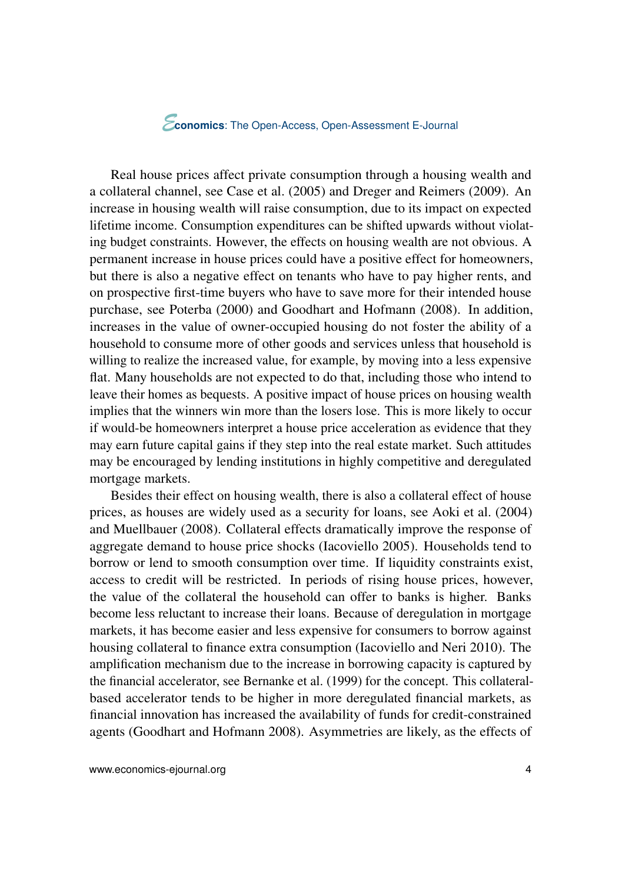Real house prices affect private consumption through a housing wealth and a collateral channel, see [Case et al.](#page-23-0) [\(2005\)](#page-23-0) and [Dreger and Reimers](#page-23-0) [\(2009\)](#page-23-0). An increase in housing wealth will raise consumption, due to its impact on expected lifetime income. Consumption expenditures can be shifted upwards without violating budget constraints. However, the effects on housing wealth are not obvious. A permanent increase in house prices could have a positive effect for homeowners, but there is also a negative effect on tenants who have to pay higher rents, and on prospective first-time buyers who have to save more for their intended house purchase, see [Poterba](#page-25-0) [\(2000\)](#page-25-0) and [Goodhart and Hofmann](#page-24-0) [\(2008\)](#page-24-0). In addition, increases in the value of owner-occupied housing do not foster the ability of a household to consume more of other goods and services unless that household is willing to realize the increased value, for example, by moving into a less expensive flat. Many households are not expected to do that, including those who intend to leave their homes as bequests. A positive impact of house prices on housing wealth implies that the winners win more than the losers lose. This is more likely to occur if would-be homeowners interpret a house price acceleration as evidence that they may earn future capital gains if they step into the real estate market. Such attitudes may be encouraged by lending institutions in highly competitive and deregulated mortgage markets.

Besides their effect on housing wealth, there is also a collateral effect of house prices, as houses are widely used as a security for loans, see [Aoki et al.](#page-22-0) [\(2004\)](#page-22-0) and [Muellbauer](#page-24-0) [\(2008\)](#page-24-0). Collateral effects dramatically improve the response of aggregate demand to house price shocks [\(Iacoviello](#page-24-0) [2005\)](#page-24-0). Households tend to borrow or lend to smooth consumption over time. If liquidity constraints exist, access to credit will be restricted. In periods of rising house prices, however, the value of the collateral the household can offer to banks is higher. Banks become less reluctant to increase their loans. Because of deregulation in mortgage markets, it has become easier and less expensive for consumers to borrow against housing collateral to finance extra consumption [\(Iacoviello and Neri](#page-24-0) [2010\)](#page-24-0). The amplification mechanism due to the increase in borrowing capacity is captured by the financial accelerator, see [Bernanke et al.](#page-22-0) [\(1999\)](#page-22-0) for the concept. This collateralbased accelerator tends to be higher in more deregulated financial markets, as financial innovation has increased the availability of funds for credit-constrained agents [\(Goodhart and Hofmann](#page-24-0) [2008\)](#page-24-0). Asymmetries are likely, as the effects of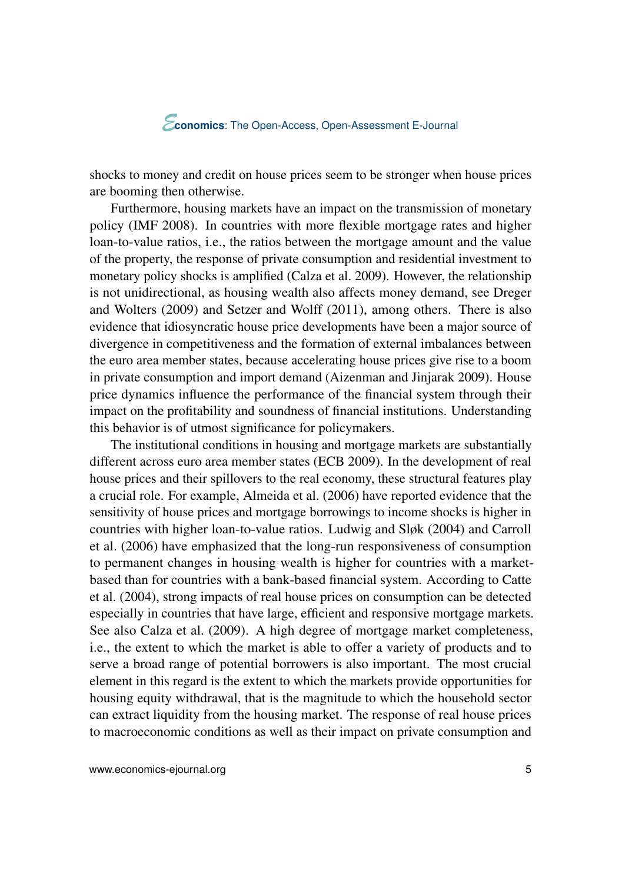shocks to money and credit on house prices seem to be stronger when house prices are booming then otherwise.

Furthermore, housing markets have an impact on the transmission of monetary policy [\(IMF](#page-24-0) [2008\)](#page-24-0). In countries with more flexible mortgage rates and higher loan-to-value ratios, i.e., the ratios between the mortgage amount and the value of the property, the response of private consumption and residential investment to monetary policy shocks is amplified [\(Calza et al.](#page-22-0) [2009\)](#page-22-0). However, the relationship is not unidirectional, as housing wealth also affects money demand, see [Dreger](#page-23-0) [and Wolters](#page-23-0) [\(2009\)](#page-23-0) and [Setzer and Wolff](#page-25-0) [\(2011\)](#page-25-0), among others. There is also evidence that idiosyncratic house price developments have been a major source of divergence in competitiveness and the formation of external imbalances between the euro area member states, because accelerating house prices give rise to a boom in private consumption and import demand [\(Aizenman and Jinjarak](#page-22-0) [2009\)](#page-22-0). House price dynamics influence the performance of the financial system through their impact on the profitability and soundness of financial institutions. Understanding this behavior is of utmost significance for policymakers.

The institutional conditions in housing and mortgage markets are substantially different across euro area member states [\(ECB](#page-23-0) [2009\)](#page-23-0). In the development of real house prices and their spillovers to the real economy, these structural features play a crucial role. For example, [Almeida et al.](#page-22-0) [\(2006\)](#page-22-0) have reported evidence that the sensitivity of house prices and mortgage borrowings to income shocks is higher in countries with higher loan-to-value ratios. [Ludwig and Sløk](#page-24-0) [\(2004\)](#page-24-0) and [Carroll](#page-22-0) [et al.](#page-22-0) [\(2006\)](#page-22-0) have emphasized that the long-run responsiveness of consumption to permanent changes in housing wealth is higher for countries with a marketbased than for countries with a bank-based financial system. According to [Catte](#page-23-0) [et al.](#page-23-0) [\(2004\)](#page-23-0), strong impacts of real house prices on consumption can be detected especially in countries that have large, efficient and responsive mortgage markets. See also [Calza et al.](#page-22-0) [\(2009\)](#page-22-0). A high degree of mortgage market completeness, i.e., the extent to which the market is able to offer a variety of products and to serve a broad range of potential borrowers is also important. The most crucial element in this regard is the extent to which the markets provide opportunities for housing equity withdrawal, that is the magnitude to which the household sector can extract liquidity from the housing market. The response of real house prices to macroeconomic conditions as well as their impact on private consumption and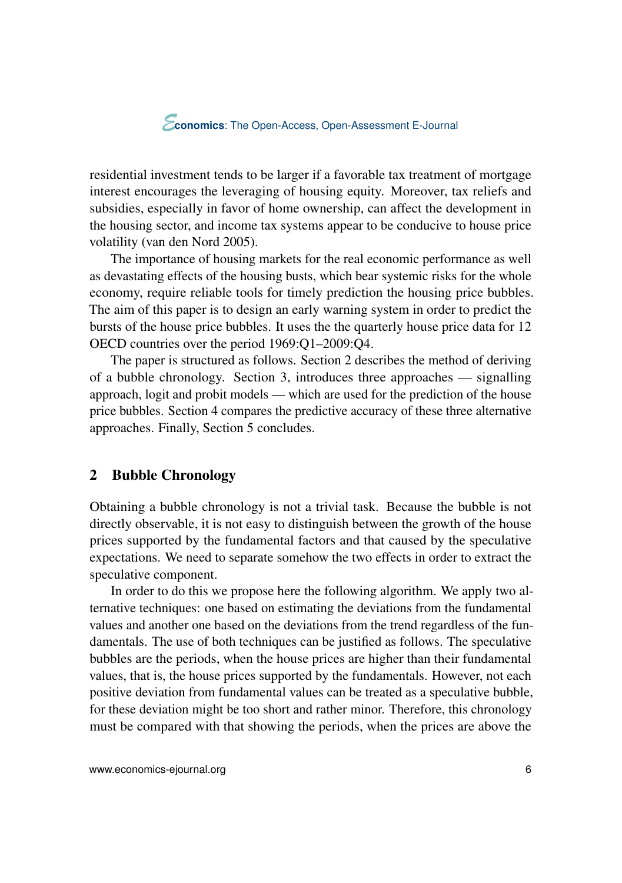residential investment tends to be larger if a favorable tax treatment of mortgage interest encourages the leveraging of housing equity. Moreover, tax reliefs and subsidies, especially in favor of home ownership, can affect the development in the housing sector, and income tax systems appear to be conducive to house price volatility [\(van den Nord](#page-25-0) [2005\)](#page-25-0).

The importance of housing markets for the real economic performance as well as devastating effects of the housing busts, which bear systemic risks for the whole economy, require reliable tools for timely prediction the housing price bubbles. The aim of this paper is to design an early warning system in order to predict the bursts of the house price bubbles. It uses the the quarterly house price data for 12 OECD countries over the period 1969:Q1–2009:Q4.

The paper is structured as follows. Section 2 describes the method of deriving of a bubble chronology. Section [3,](#page-12-0) introduces three approaches — signalling approach, logit and probit models — which are used for the prediction of the house price bubbles. Section [4](#page-18-0) compares the predictive accuracy of these three alternative approaches. Finally, Section [5](#page-21-0) concludes.

### 2 Bubble Chronology

Obtaining a bubble chronology is not a trivial task. Because the bubble is not directly observable, it is not easy to distinguish between the growth of the house prices supported by the fundamental factors and that caused by the speculative expectations. We need to separate somehow the two effects in order to extract the speculative component.

In order to do this we propose here the following algorithm. We apply two alternative techniques: one based on estimating the deviations from the fundamental values and another one based on the deviations from the trend regardless of the fundamentals. The use of both techniques can be justified as follows. The speculative bubbles are the periods, when the house prices are higher than their fundamental values, that is, the house prices supported by the fundamentals. However, not each positive deviation from fundamental values can be treated as a speculative bubble, for these deviation might be too short and rather minor. Therefore, this chronology must be compared with that showing the periods, when the prices are above the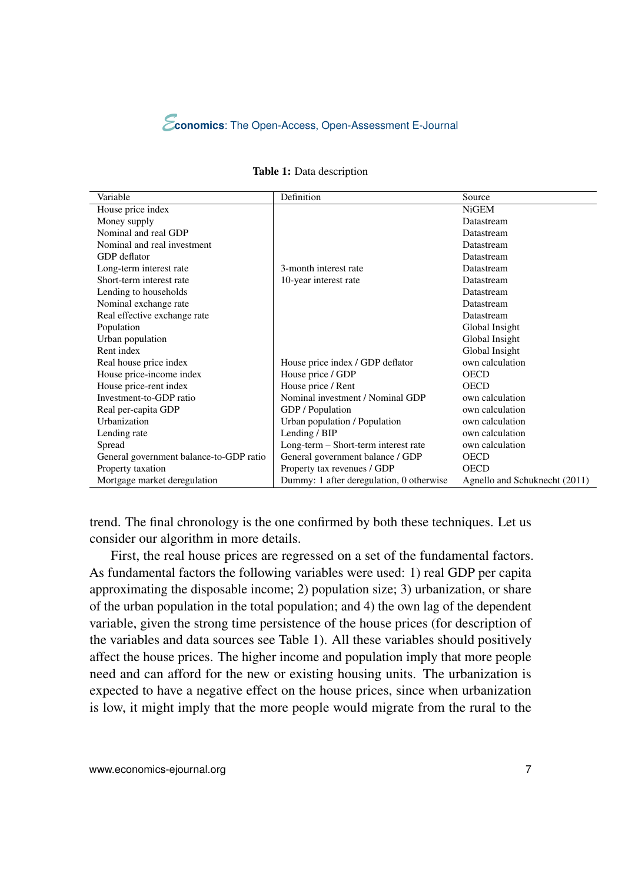

| Variable                                | <b>Definition</b>                        | Source                        |
|-----------------------------------------|------------------------------------------|-------------------------------|
| House price index                       |                                          | NiGEM                         |
| Money supply                            |                                          | Datastream                    |
| Nominal and real GDP                    |                                          | Datastream                    |
| Nominal and real investment             |                                          | Datastream                    |
| GDP deflator                            |                                          | Datastream                    |
| Long-term interest rate                 | 3-month interest rate                    | Datastream                    |
| Short-term interest rate                | 10-year interest rate                    | Datastream                    |
| Lending to households                   |                                          | Datastream                    |
| Nominal exchange rate                   |                                          | Datastream                    |
| Real effective exchange rate            |                                          | Datastream                    |
| Population                              |                                          | Global Insight                |
| Urban population                        |                                          | Global Insight                |
| Rent index                              |                                          | Global Insight                |
| Real house price index                  | House price index / GDP deflator         | own calculation               |
| House price-income index                | House price / GDP                        | OECD                          |
| House price-rent index                  | House price / Rent                       | <b>OECD</b>                   |
| Investment-to-GDP ratio                 | Nominal investment / Nominal GDP         | own calculation               |
| Real per-capita GDP                     | GDP / Population                         | own calculation               |
| Urbanization                            | Urban population / Population            | own calculation               |
| Lending rate                            | Lending / BIP                            | own calculation               |
| Spread                                  | Long-term – Short-term interest rate     | own calculation               |
| General government balance-to-GDP ratio | General government balance / GDP         | <b>OECD</b>                   |
| Property taxation                       | Property tax revenues / GDP              | <b>OECD</b>                   |
| Mortgage market deregulation            | Dummy: 1 after deregulation, 0 otherwise | Agnello and Schuknecht (2011) |

trend. The final chronology is the one confirmed by both these techniques. Let us consider our algorithm in more details.

First, the real house prices are regressed on a set of the fundamental factors. As fundamental factors the following variables were used: 1) real GDP per capita approximating the disposable income; 2) population size; 3) urbanization, or share of the urban population in the total population; and 4) the own lag of the dependent variable, given the strong time persistence of the house prices (for description of the variables and data sources see Table 1). All these variables should positively affect the house prices. The higher income and population imply that more people need and can afford for the new or existing housing units. The urbanization is expected to have a negative effect on the house prices, since when urbanization is low, it might imply that the more people would migrate from the rural to the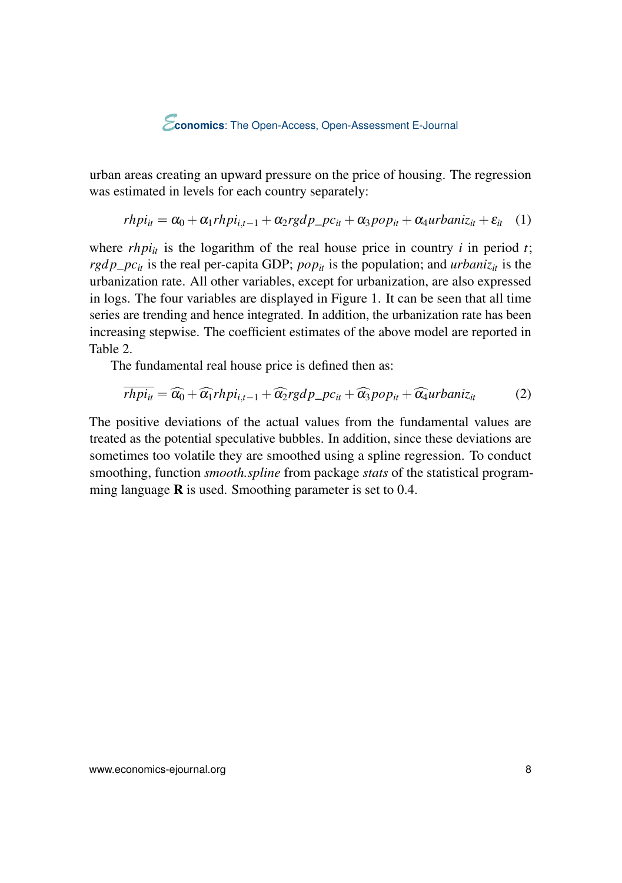urban areas creating an upward pressure on the price of housing. The regression was estimated in levels for each country separately:

$$
rhpi_{it} = \alpha_0 + \alpha_1 rhpi_{i,t-1} + \alpha_2 rgdp\_pc_{it} + \alpha_3 pop_{it} + \alpha_4 urbaniz_{it} + \varepsilon_{it} \quad (1)
$$

where  $rhpi_i$  is the logarithm of the real house price in country *i* in period *t*; *rgdp\_pc<sub>it</sub>* is the real per-capita GDP; *pop<sub>it</sub>* is the population; and *urbaniz<sub>it</sub>* is the urbanization rate. All other variables, except for urbanization, are also expressed in logs. The four variables are displayed in Figure [1.](#page-8-0) It can be seen that all time series are trending and hence integrated. In addition, the urbanization rate has been increasing stepwise. The coefficient estimates of the above model are reported in Table [2.](#page-9-0)

The fundamental real house price is defined then as:

$$
\overline{rhpi_{it}} = \widehat{\alpha_0} + \widehat{\alpha_1} rhpi_{i,t-1} + \widehat{\alpha_2} rgdp\_pc_{it} + \widehat{\alpha_3} pop_{it} + \widehat{\alpha_4} urbaniz_{it}
$$
(2)

The positive deviations of the actual values from the fundamental values are treated as the potential speculative bubbles. In addition, since these deviations are sometimes too volatile they are smoothed using a spline regression. To conduct smoothing, function *smooth.spline* from package *stats* of the statistical programming language  $\bf{R}$  is used. Smoothing parameter is set to 0.4.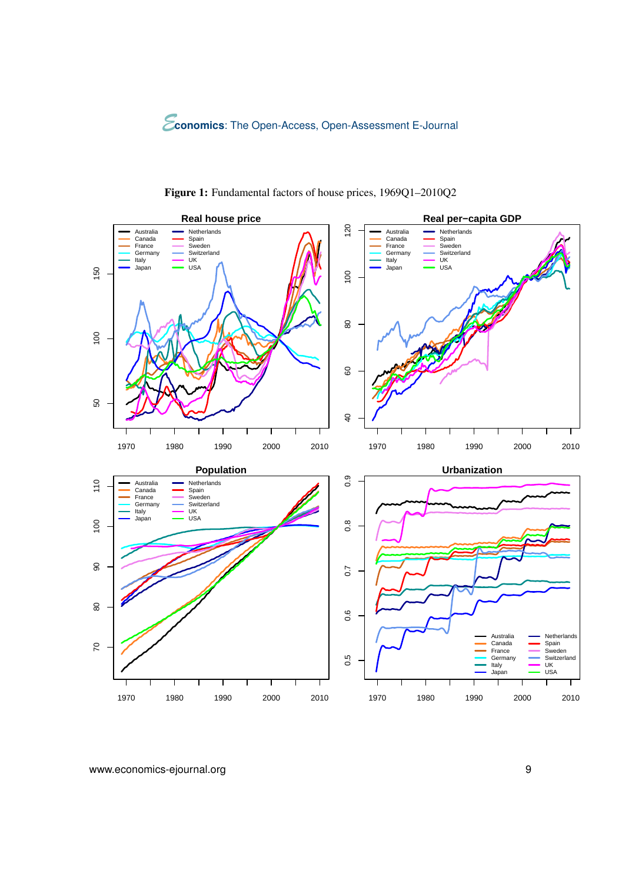<span id="page-8-0"></span>

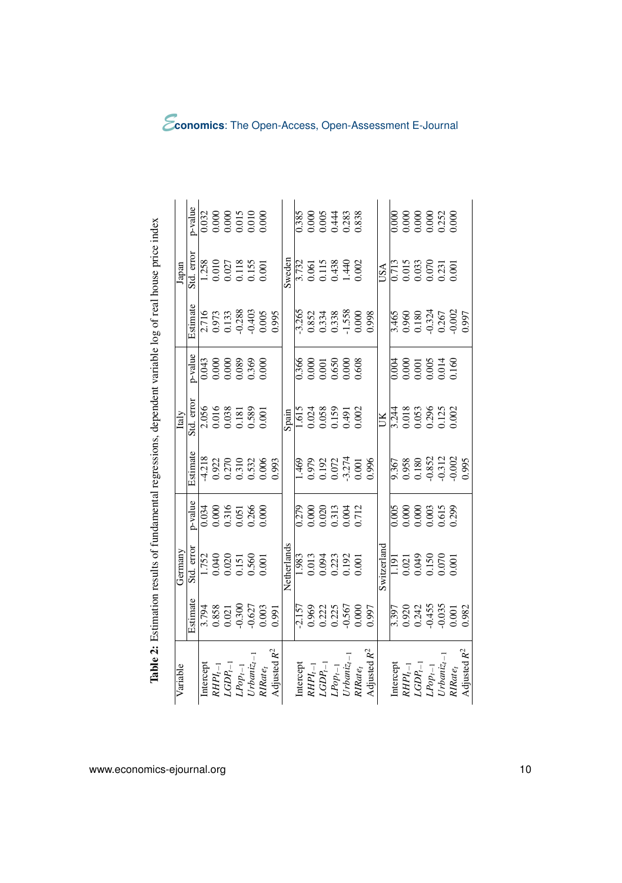<span id="page-9-0"></span>

| Variable                     |                                                         | Germany                          |                                  |                                                    | Italy                   |                                                                                   |                                                     | Japan                                                           |                                                                                   |
|------------------------------|---------------------------------------------------------|----------------------------------|----------------------------------|----------------------------------------------------|-------------------------|-----------------------------------------------------------------------------------|-----------------------------------------------------|-----------------------------------------------------------------|-----------------------------------------------------------------------------------|
|                              | Estimate                                                | Std. error                       | p-value                          | Estimate                                           | Std. error              | p-value                                                                           | Estimate                                            | Std. error                                                      | p-value                                                                           |
| Intercept                    | 3.794                                                   | 1.752                            | 0.034                            | $-4.218$                                           |                         | 0.043                                                                             |                                                     | 1.258                                                           | 0.032                                                                             |
| $RHPI_{t-1}$                 |                                                         | 0.040                            | 0.000                            |                                                    | 2.056<br>0.016          |                                                                                   |                                                     | 0.010                                                           |                                                                                   |
| $LGDP_t$                     | $\begin{array}{c} 0.858 \\ 0.021 \\ -0.300 \end{array}$ | 0.020<br>0.151<br>0.560<br>0.001 | 0.316<br>0.051                   | 0.922<br>0.270<br>0.310<br>0.532<br>0.006          | 0.038                   | $0.000$<br>$0.000$<br>$0.089$<br>$0.369$<br>$0.000$                               | 2.716<br>0.973<br>0.133<br>0.403<br>0.005           | 0.027<br>0.118<br>0.155<br>0.001                                | $\begin{array}{c} 0.000 \\ 0.000 \\ 0.015 \\ 0.010 \\ 0.010 \\ 0.000 \end{array}$ |
| $LPop_{t-1}$                 |                                                         |                                  |                                  |                                                    |                         |                                                                                   |                                                     |                                                                 |                                                                                   |
| $Urbani_{\mathcal{Z}_l}$ .   | $-0.627$                                                |                                  | 0.266<br>0.000                   |                                                    | 0.589                   |                                                                                   |                                                     |                                                                 |                                                                                   |
| RIRate <sub>t</sub>          | 0.003                                                   |                                  |                                  |                                                    |                         |                                                                                   |                                                     |                                                                 |                                                                                   |
| Adjusted $R^2$               | 0.991                                                   |                                  |                                  | 0.993                                              |                         |                                                                                   | 0.995                                               |                                                                 |                                                                                   |
|                              |                                                         | Netherlands                      |                                  |                                                    | Spain                   |                                                                                   |                                                     | sweden                                                          |                                                                                   |
| Intercept                    | 2.157                                                   | 1.983                            | 0.279                            | .469                                               | 1.615                   | 0.366                                                                             | 3.265                                               | 3.732                                                           | <b>1.385</b>                                                                      |
| $RHPI_{t-1}$                 |                                                         |                                  |                                  |                                                    | 0.024                   |                                                                                   |                                                     |                                                                 |                                                                                   |
| $\label{eq:logd} LGDP_{l-1}$ | 0.969<br>0.222<br>0.255<br>0.567                        | 0.013<br>0.094<br>0.023<br>0.192 | 0.020<br>0.0213<br>0.004         | 0.979<br>0.192<br>0.072<br>3.274                   | 0.058<br>0.159          | $\begin{array}{c} 0.000 \\ 0.001 \\ 0.650 \\ 0.000 \\ 0.000 \\ 0.608 \end{array}$ | 0.852<br>0.334<br>0.338<br>-1.558                   | 0.061<br>0.115<br>0.438<br>1.440                                | 0.000<br>0.054<br>0.283<br>0.838                                                  |
| $LPop_{t-1}$                 |                                                         |                                  |                                  |                                                    |                         |                                                                                   |                                                     |                                                                 |                                                                                   |
| $U$ rbaniz <sub>t</sub> -    |                                                         |                                  |                                  |                                                    | 0.491                   |                                                                                   |                                                     |                                                                 |                                                                                   |
| RIRate <sub>t</sub>          | 0.000                                                   | 0.001                            | 0.712                            | 1001                                               | 0.002                   |                                                                                   | 0.000                                               | 0.002                                                           |                                                                                   |
| Adjusted $R^2$               | 0.997                                                   |                                  |                                  | 0.996                                              |                         |                                                                                   |                                                     |                                                                 |                                                                                   |
|                              |                                                         | Switzerland                      |                                  |                                                    | ŰК                      |                                                                                   |                                                     | USA                                                             |                                                                                   |
| Intercept                    | 3.397                                                   | $\frac{5}{1}$                    | 0.005                            |                                                    | 3.244                   | 0.004                                                                             | 3.465                                               | 0.713                                                           | 0.000                                                                             |
| $RHPI_{t-1}$                 |                                                         | 0.021                            | 0.000                            |                                                    | 0.018                   |                                                                                   |                                                     | 0.015                                                           |                                                                                   |
| $\mathit{LGDP}_{l-1}$        | 0.920<br>0.242<br>0.455                                 | 0.049<br>0.150<br>0.070<br>0.001 | 0.000<br>0.003<br>0.615<br>0.299 | 9.367<br>0.958<br>0.180<br>0.352<br>0.312<br>0.002 | 0.053                   | $\begin{array}{c} 0.000 \\ 0.001 \\ 0.005 \\ 0.014 \\ 0.160 \end{array}$          | $0.960$<br>$0.180$<br>$0.324$<br>$0.267$<br>$0.267$ | $\begin{array}{c} 0.033 \\ 0.070 \\ 0.231 \\ 0.001 \end{array}$ | $0.000$<br>$0.000$<br>$0.000$<br>$0.252$<br>$0.252$                               |
| $LPop_{t-1}$                 |                                                         |                                  |                                  |                                                    | 0.296<br>0.125<br>0.002 |                                                                                   |                                                     |                                                                 |                                                                                   |
| $U$ rbaniz <sub>t</sub>      | $-0.035$                                                |                                  |                                  |                                                    |                         |                                                                                   |                                                     |                                                                 |                                                                                   |
| $RIRate_t$                   | 0.001                                                   |                                  |                                  |                                                    |                         |                                                                                   |                                                     |                                                                 |                                                                                   |
| Adjusted $R^2$               | 0.982                                                   |                                  |                                  | 0.995                                              |                         |                                                                                   | 0.997                                               |                                                                 |                                                                                   |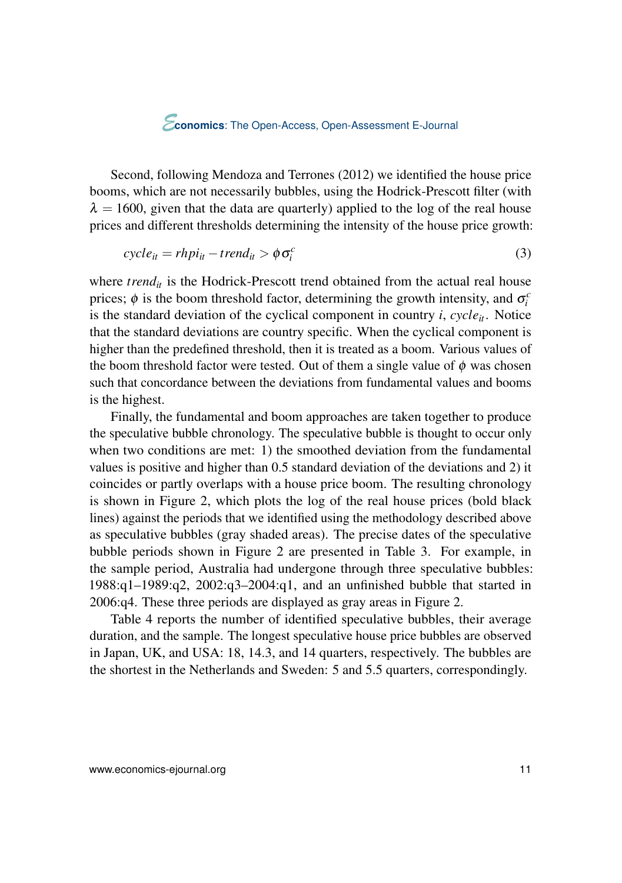Second, following [Mendoza and Terrones](#page-24-0) [\(2012\)](#page-24-0) we identified the house price booms, which are not necessarily bubbles, using the Hodrick-Prescott filter (with  $\lambda = 1600$ , given that the data are quarterly) applied to the log of the real house prices and different thresholds determining the intensity of the house price growth:

$$
cycle_{it} = r h p i_{it} - trend_{it} > \phi \sigma_i^c
$$
\n
$$
(3)
$$

where  $trend<sub>it</sub>$  is the Hodrick-Prescott trend obtained from the actual real house prices;  $\phi$  is the boom threshold factor, determining the growth intensity, and  $\sigma_i^c$ is the standard deviation of the cyclical component in country  $i$ ,  $cycle_{it}$ . Notice that the standard deviations are country specific. When the cyclical component is higher than the predefined threshold, then it is treated as a boom. Various values of the boom threshold factor were tested. Out of them a single value of  $\phi$  was chosen such that concordance between the deviations from fundamental values and booms is the highest.

Finally, the fundamental and boom approaches are taken together to produce the speculative bubble chronology. The speculative bubble is thought to occur only when two conditions are met: 1) the smoothed deviation from the fundamental values is positive and higher than 0.5 standard deviation of the deviations and 2) it coincides or partly overlaps with a house price boom. The resulting chronology is shown in Figure [2,](#page-11-0) which plots the log of the real house prices (bold black lines) against the periods that we identified using the methodology described above as speculative bubbles (gray shaded areas). The precise dates of the speculative bubble periods shown in Figure [2](#page-11-0) are presented in Table [3.](#page-12-0) For example, in the sample period, Australia had undergone through three speculative bubbles: 1988:q1–1989:q2, 2002:q3–2004:q1, and an unfinished bubble that started in 2006:q4. These three periods are displayed as gray areas in Figure [2.](#page-11-0)

Table [4](#page-13-0) reports the number of identified speculative bubbles, their average duration, and the sample. The longest speculative house price bubbles are observed in Japan, UK, and USA: 18, 14.3, and 14 quarters, respectively. The bubbles are the shortest in the Netherlands and Sweden: 5 and 5.5 quarters, correspondingly.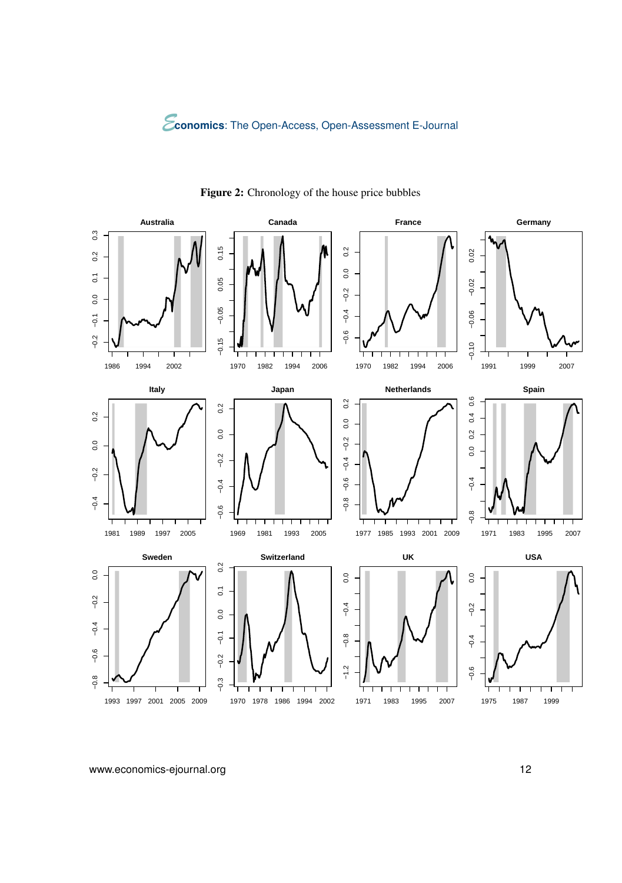<span id="page-11-0"></span>

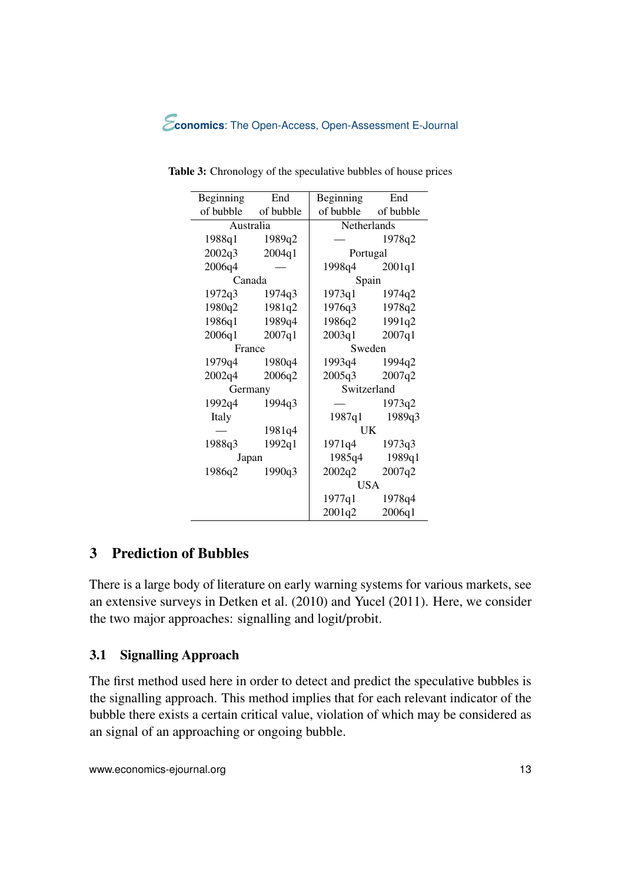| Beginning           | End    | Beginning           | End           |  |
|---------------------|--------|---------------------|---------------|--|
| of bubble of bubble |        | of bubble of bubble |               |  |
| Australia           |        | <b>Netherlands</b>  |               |  |
| 1988q1 1989q2       |        |                     | 1978q2        |  |
| 2002q3              | 2004q1 | Portugal            |               |  |
| 2006q4              |        | 1998q4              | 2001q1        |  |
| Canada              |        | Spain               |               |  |
| $1972q3$ $1974q3$   |        | 1973q1              | 1974q2        |  |
| 1980q2              | 1981q2 | 1976q3 1978q2       |               |  |
| 1986q1 1989q4       |        | 1986q2 1991q2       |               |  |
| $2006q1$ $2007q1$   |        | 2003q1 2007q1       |               |  |
| France              |        | Sweden              |               |  |
| 1979q4 1980q4       |        | 1993q4 1994q2       |               |  |
| 2002q4              | 2006q2 | 2005q3              | 2007q2        |  |
| Germany             |        | Switzerland         |               |  |
| 1992q4              | 1994q3 |                     | 1973q2        |  |
| Italy               |        |                     | 1987q1 1989q3 |  |
|                     | 1981q4 | UK                  |               |  |
| 1988q3              | 1992q1 | 1971q4              | 1973q3        |  |
| Japan               |        |                     | 1985q4 1989q1 |  |
| 1986q2              | 1990q3 | 2002q2              | 2007q2        |  |
|                     |        | USA                 |               |  |
|                     |        | 1977q1              | 1978q4        |  |
|                     |        | 2001q2              | 2006q1        |  |

<span id="page-12-0"></span>Table 3: Chronology of the speculative bubbles of house prices

# 3 Prediction of Bubbles

÷,

There is a large body of literature on early warning systems for various markets, see an extensive surveys in [Detken et al.](#page-23-0) [\(2010\)](#page-23-0) and [Yucel](#page-25-0) [\(2011\)](#page-25-0). Here, we consider the two major approaches: signalling and logit/probit.

# 3.1 Signalling Approach

The first method used here in order to detect and predict the speculative bubbles is the signalling approach. This method implies that for each relevant indicator of the bubble there exists a certain critical value, violation of which may be considered as an signal of an approaching or ongoing bubble.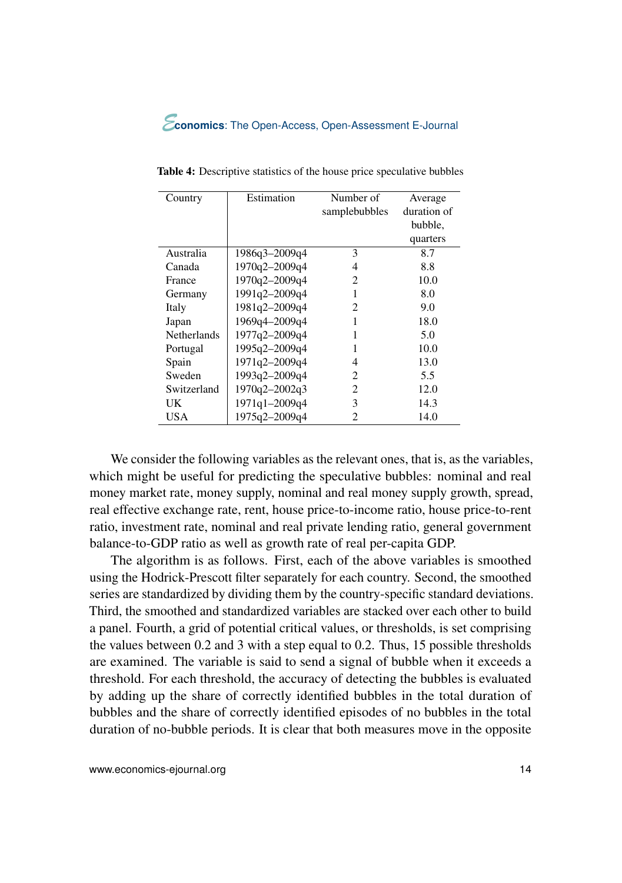<span id="page-13-0"></span>

| Country            | Estimation    | Number of     | Average     |
|--------------------|---------------|---------------|-------------|
|                    |               | samplebubbles | duration of |
|                    |               |               | bubble,     |
|                    |               |               | quarters    |
| Australia          | 1986q3-2009q4 | 3             | 8.7         |
| Canada             | 1970q2-2009q4 | 4             | 8.8         |
| France             | 1970q2-2009q4 | 2             | 10.0        |
| Germany            | 1991q2-2009q4 | 1             | 8.0         |
| Italy              | 1981q2-2009q4 | 2             | 9.0         |
| Japan              | 1969q4-2009q4 | 1             | 18.0        |
| <b>Netherlands</b> | 1977q2-2009q4 | 1             | 5.0         |
| Portugal           | 1995q2-2009q4 | 1             | 10.0        |
| Spain              | 1971q2-2009q4 | 4             | 13.0        |
| Sweden             | 1993q2-2009q4 | 2             | 5.5         |
| Switzerland        | 1970q2-2002q3 | 2             | 12.0        |
| UK                 | 1971q1-2009q4 | 3             | 14.3        |
| USA                | 1975q2-2009q4 | 2             | 14.0        |

Table 4: Descriptive statistics of the house price speculative bubbles

We consider the following variables as the relevant ones, that is, as the variables, which might be useful for predicting the speculative bubbles: nominal and real money market rate, money supply, nominal and real money supply growth, spread, real effective exchange rate, rent, house price-to-income ratio, house price-to-rent ratio, investment rate, nominal and real private lending ratio, general government balance-to-GDP ratio as well as growth rate of real per-capita GDP.

The algorithm is as follows. First, each of the above variables is smoothed using the Hodrick-Prescott filter separately for each country. Second, the smoothed series are standardized by dividing them by the country-specific standard deviations. Third, the smoothed and standardized variables are stacked over each other to build a panel. Fourth, a grid of potential critical values, or thresholds, is set comprising the values between 0.2 and 3 with a step equal to 0.2. Thus, 15 possible thresholds are examined. The variable is said to send a signal of bubble when it exceeds a threshold. For each threshold, the accuracy of detecting the bubbles is evaluated by adding up the share of correctly identified bubbles in the total duration of bubbles and the share of correctly identified episodes of no bubbles in the total duration of no-bubble periods. It is clear that both measures move in the opposite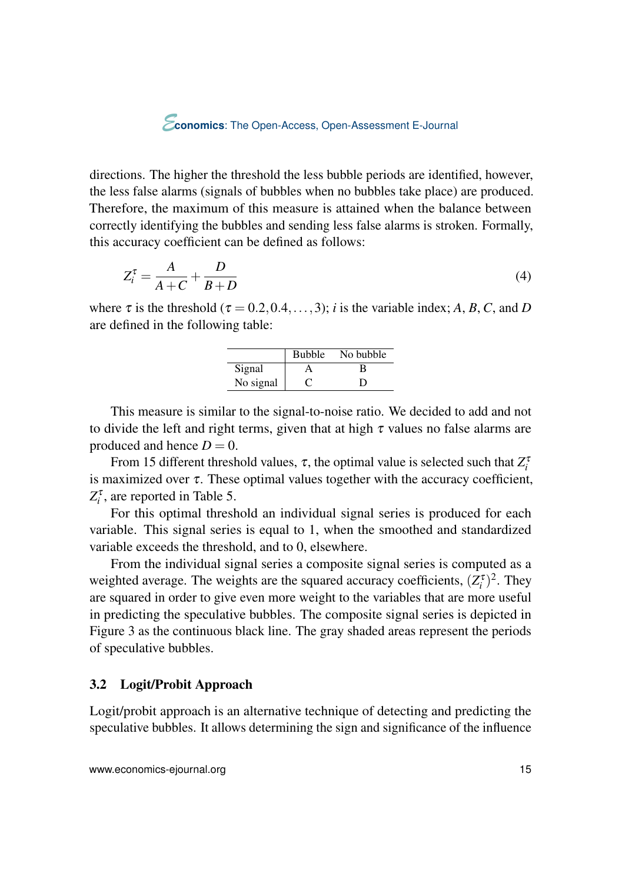directions. The higher the threshold the less bubble periods are identified, however, the less false alarms (signals of bubbles when no bubbles take place) are produced. Therefore, the maximum of this measure is attained when the balance between correctly identifying the bubbles and sending less false alarms is stroken. Formally, this accuracy coefficient can be defined as follows:

$$
Z_i^{\tau} = \frac{A}{A+C} + \frac{D}{B+D}
$$
 (4)

where  $\tau$  is the threshold ( $\tau = 0.2, 0.4, \ldots, 3$ ); *i* is the variable index; *A*, *B*, *C*, and *D* are defined in the following table:

|           | <b>Bubble</b> | No bubble |
|-----------|---------------|-----------|
| Signal    |               | в         |
| No signal |               | Ð         |

This measure is similar to the signal-to-noise ratio. We decided to add and not to divide the left and right terms, given that at high  $\tau$  values no false alarms are produced and hence  $D = 0$ .

From 15 different threshold values,  $\tau$ , the optimal value is selected such that  $Z_i^{\tau}$ is maximized over  $\tau$ . These optimal values together with the accuracy coefficient,  $Z_i^{\tau}$ , are reported in Table [5.](#page-16-0)

For this optimal threshold an individual signal series is produced for each variable. This signal series is equal to 1, when the smoothed and standardized variable exceeds the threshold, and to 0, elsewhere.

From the individual signal series a composite signal series is computed as a weighted average. The weights are the squared accuracy coefficients,  $(Z_i^{\tau})^2$ . They are squared in order to give even more weight to the variables that are more useful in predicting the speculative bubbles. The composite signal series is depicted in Figure [3](#page-15-0) as the continuous black line. The gray shaded areas represent the periods of speculative bubbles.

#### 3.2 Logit/Probit Approach

Logit/probit approach is an alternative technique of detecting and predicting the speculative bubbles. It allows determining the sign and significance of the influence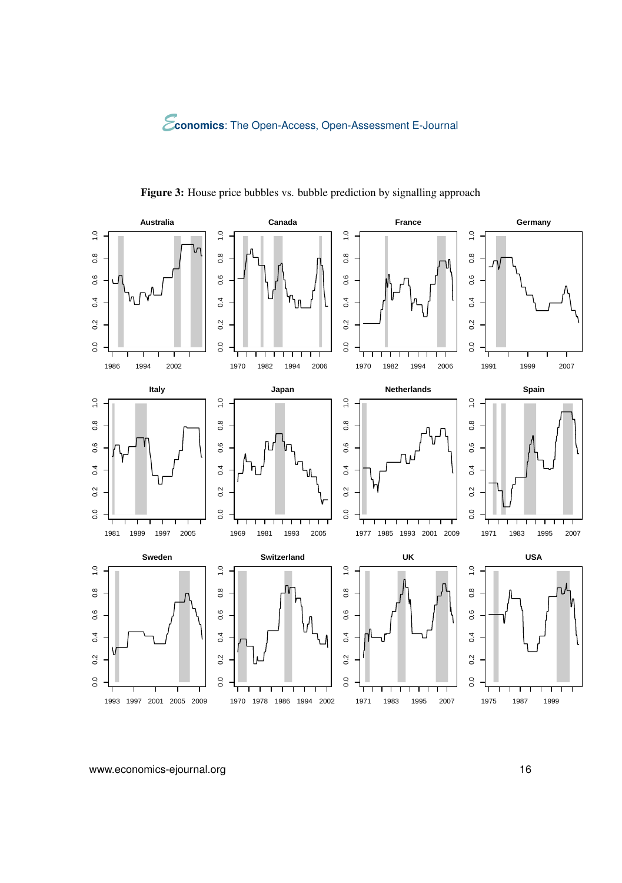<span id="page-15-0"></span>

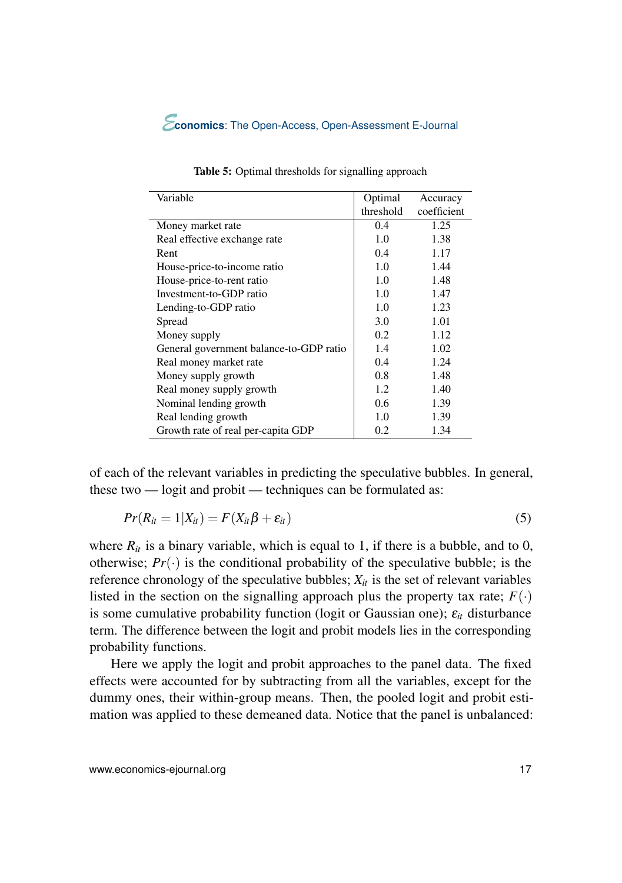<span id="page-16-0"></span>

| Variable                                | Optimal   | Accuracy    |
|-----------------------------------------|-----------|-------------|
|                                         | threshold | coefficient |
| Money market rate                       | 0.4       | 1.25        |
| Real effective exchange rate            | 1.0       | 1.38        |
| Rent                                    | 0.4       | 1.17        |
| House-price-to-income ratio             | 1.0       | 1.44        |
| House-price-to-rent ratio               | 1.0       | 1.48        |
| Investment-to-GDP ratio                 | 1.0       | 1.47        |
| Lending-to-GDP ratio                    | 1.0       | 1.23        |
| Spread                                  | 3.0       | 1.01        |
| Money supply                            | 0.2       | 1.12        |
| General government balance-to-GDP ratio | 1.4       | 1.02        |
| Real money market rate                  | 0.4       | 1.24        |
| Money supply growth                     | 0.8       | 1.48        |
| Real money supply growth                | 1.2       | 1.40        |
| Nominal lending growth                  | 0.6       | 1.39        |
| Real lending growth                     | 1.0       | 1.39        |
| Growth rate of real per-capita GDP      | 0.2       | 1.34        |

Table 5: Optimal thresholds for signalling approach

of each of the relevant variables in predicting the speculative bubbles. In general, these two — logit and probit — techniques can be formulated as:

$$
Pr(R_{it} = 1 | X_{it}) = F(X_{it}\beta + \varepsilon_{it})
$$
\n<sup>(5)</sup>

where  $R_{it}$  is a binary variable, which is equal to 1, if there is a bubble, and to 0, otherwise;  $Pr(\cdot)$  is the conditional probability of the speculative bubble; is the reference chronology of the speculative bubbles;  $X_{it}$  is the set of relevant variables listed in the section on the signalling approach plus the property tax rate;  $F(\cdot)$ is some cumulative probability function (logit or Gaussian one);  $\varepsilon_{it}$  disturbance term. The difference between the logit and probit models lies in the corresponding probability functions.

Here we apply the logit and probit approaches to the panel data. The fixed effects were accounted for by subtracting from all the variables, except for the dummy ones, their within-group means. Then, the pooled logit and probit estimation was applied to these demeaned data. Notice that the panel is unbalanced: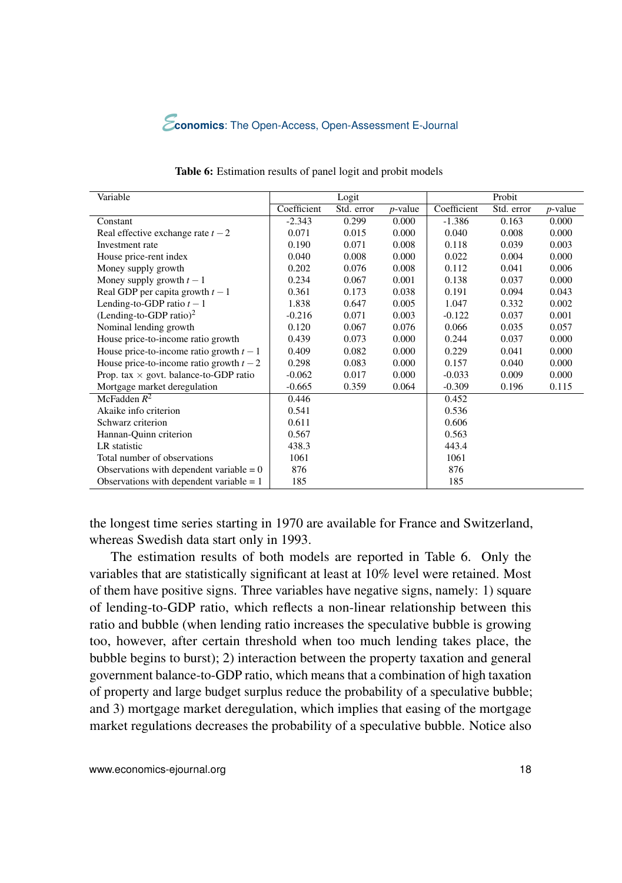

| Variable                                      |             | Logit      |                 |             | Probit     |            |
|-----------------------------------------------|-------------|------------|-----------------|-------------|------------|------------|
|                                               | Coefficient | Std. error | <i>p</i> -value | Coefficient | Std. error | $p$ -value |
| Constant                                      | $-2.343$    | 0.299      | 0.000           | $-1.386$    | 0.163      | 0.000      |
| Real effective exchange rate $t - 2$          | 0.071       | 0.015      | 0.000           | 0.040       | 0.008      | 0.000      |
| Investment rate                               | 0.190       | 0.071      | 0.008           | 0.118       | 0.039      | 0.003      |
| House price-rent index                        | 0.040       | 0.008      | 0.000           | 0.022       | 0.004      | 0.000      |
| Money supply growth                           | 0.202       | 0.076      | 0.008           | 0.112       | 0.041      | 0.006      |
| Money supply growth $t-1$                     | 0.234       | 0.067      | 0.001           | 0.138       | 0.037      | 0.000      |
| Real GDP per capita growth $t-1$              | 0.361       | 0.173      | 0.038           | 0.191       | 0.094      | 0.043      |
| Lending-to-GDP ratio $t-1$                    | 1.838       | 0.647      | 0.005           | 1.047       | 0.332      | 0.002      |
| $(Lending-to-GDP ratio)2$                     | $-0.216$    | 0.071      | 0.003           | $-0.122$    | 0.037      | 0.001      |
| Nominal lending growth                        | 0.120       | 0.067      | 0.076           | 0.066       | 0.035      | 0.057      |
| House price-to-income ratio growth            | 0.439       | 0.073      | 0.000           | 0.244       | 0.037      | 0.000      |
| House price-to-income ratio growth $t-1$      | 0.409       | 0.082      | 0.000           | 0.229       | 0.041      | 0.000      |
| House price-to-income ratio growth $t - 2$    | 0.298       | 0.083      | 0.000           | 0.157       | 0.040      | 0.000      |
| Prop. tax $\times$ govt. balance-to-GDP ratio | $-0.062$    | 0.017      | 0.000           | $-0.033$    | 0.009      | 0.000      |
| Mortgage market deregulation                  | $-0.665$    | 0.359      | 0.064           | $-0.309$    | 0.196      | 0.115      |
| McFadden $R^2$                                | 0.446       |            |                 | 0.452       |            |            |
| Akaike info criterion                         | 0.541       |            |                 | 0.536       |            |            |
| Schwarz criterion                             | 0.611       |            |                 | 0.606       |            |            |
| Hannan-Quinn criterion                        | 0.567       |            |                 | 0.563       |            |            |
| LR statistic                                  | 438.3       |            |                 | 443.4       |            |            |
| Total number of observations                  | 1061        |            |                 | 1061        |            |            |
| Observations with dependent variable $= 0$    | 876         |            |                 | 876         |            |            |
| Observations with dependent variable $= 1$    | 185         |            |                 | 185         |            |            |

Table 6: Estimation results of panel logit and probit models

the longest time series starting in 1970 are available for France and Switzerland, whereas Swedish data start only in 1993.

The estimation results of both models are reported in Table 6. Only the variables that are statistically significant at least at 10% level were retained. Most of them have positive signs. Three variables have negative signs, namely: 1) square of lending-to-GDP ratio, which reflects a non-linear relationship between this ratio and bubble (when lending ratio increases the speculative bubble is growing too, however, after certain threshold when too much lending takes place, the bubble begins to burst); 2) interaction between the property taxation and general government balance-to-GDP ratio, which means that a combination of high taxation of property and large budget surplus reduce the probability of a speculative bubble; and 3) mortgage market deregulation, which implies that easing of the mortgage market regulations decreases the probability of a speculative bubble. Notice also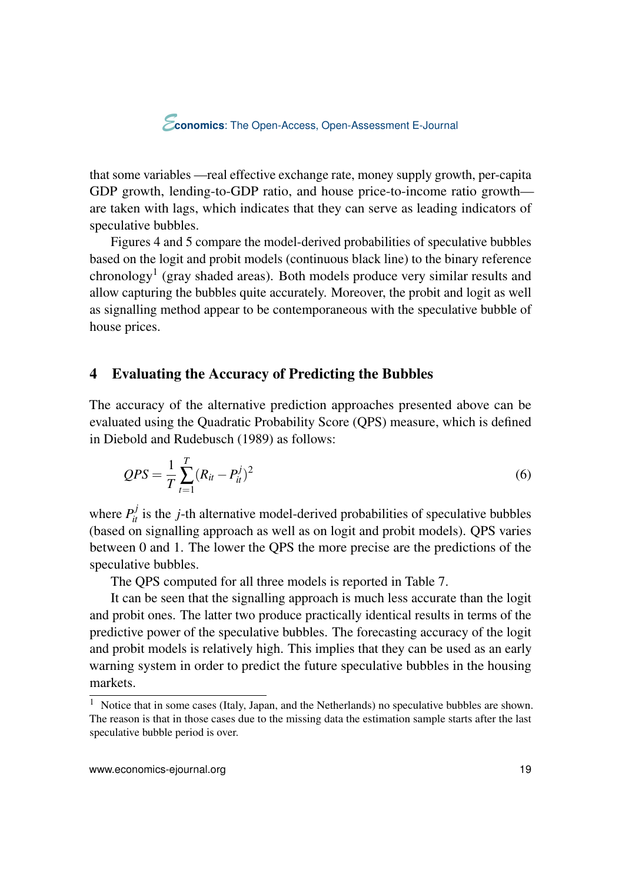<span id="page-18-0"></span>that some variables —real effective exchange rate, money supply growth, per-capita GDP growth, lending-to-GDP ratio, and house price-to-income ratio growth are taken with lags, which indicates that they can serve as leading indicators of speculative bubbles.

Figures [4](#page-19-0) and [5](#page-20-0) compare the model-derived probabilities of speculative bubbles based on the logit and probit models (continuous black line) to the binary reference chronology<sup>1</sup> (gray shaded areas). Both models produce very similar results and allow capturing the bubbles quite accurately. Moreover, the probit and logit as well as signalling method appear to be contemporaneous with the speculative bubble of house prices.

# 4 Evaluating the Accuracy of Predicting the Bubbles

The accuracy of the alternative prediction approaches presented above can be evaluated using the Quadratic Probability Score (QPS) measure, which is defined in [Diebold and Rudebusch](#page-23-0) [\(1989\)](#page-23-0) as follows:

$$
QPS = \frac{1}{T} \sum_{t=1}^{T} (R_{it} - P_{it}^j)^2
$$
\n(6)

where  $P_{it}^{j}$  is the *j*-th alternative model-derived probabilities of speculative bubbles (based on signalling approach as well as on logit and probit models). QPS varies between 0 and 1. The lower the QPS the more precise are the predictions of the speculative bubbles.

The QPS computed for all three models is reported in Table [7.](#page-21-0)

It can be seen that the signalling approach is much less accurate than the logit and probit ones. The latter two produce practically identical results in terms of the predictive power of the speculative bubbles. The forecasting accuracy of the logit and probit models is relatively high. This implies that they can be used as an early warning system in order to predict the future speculative bubbles in the housing markets.

<sup>&</sup>lt;sup>1</sup> Notice that in some cases (Italy, Japan, and the Netherlands) no speculative bubbles are shown. The reason is that in those cases due to the missing data the estimation sample starts after the last speculative bubble period is over.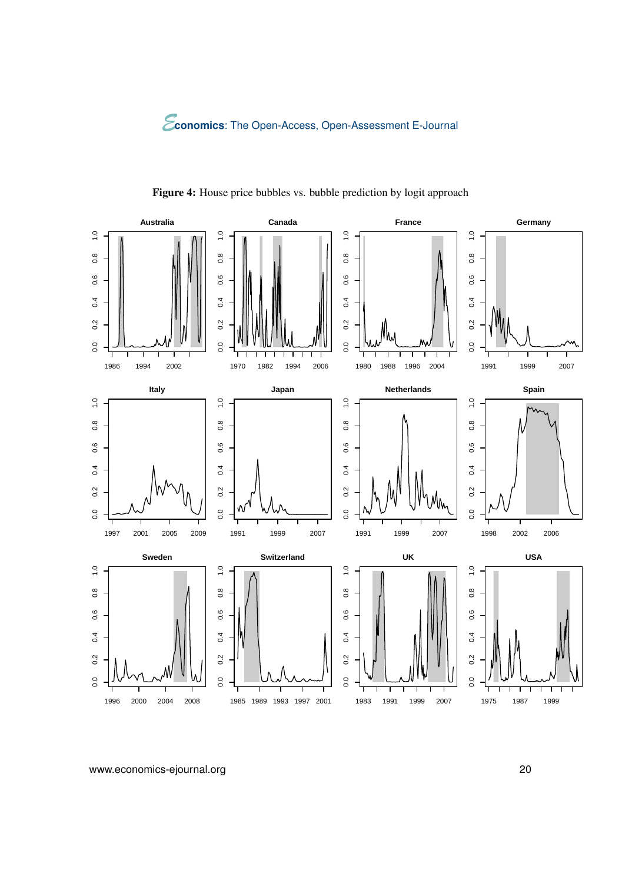<span id="page-19-0"></span>

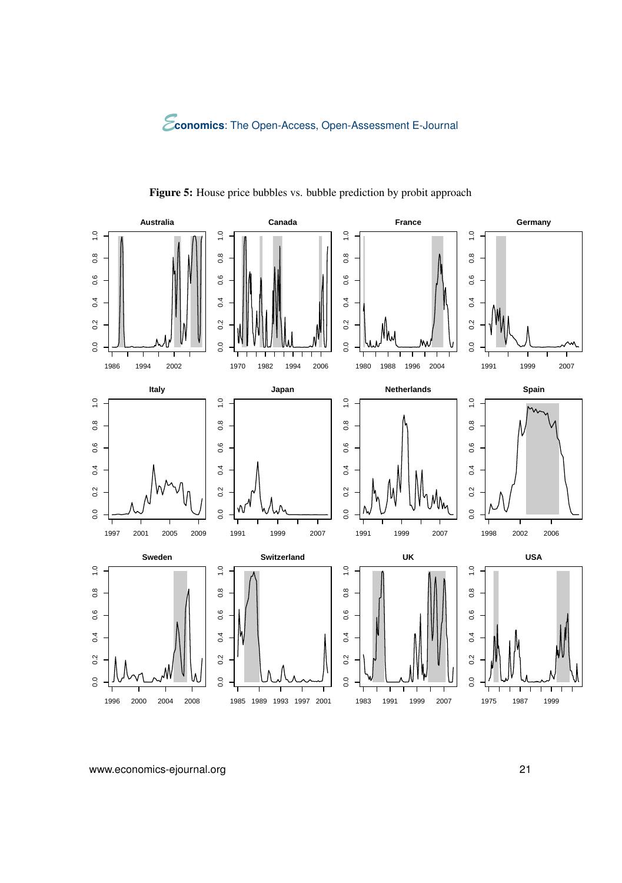<span id="page-20-0"></span>

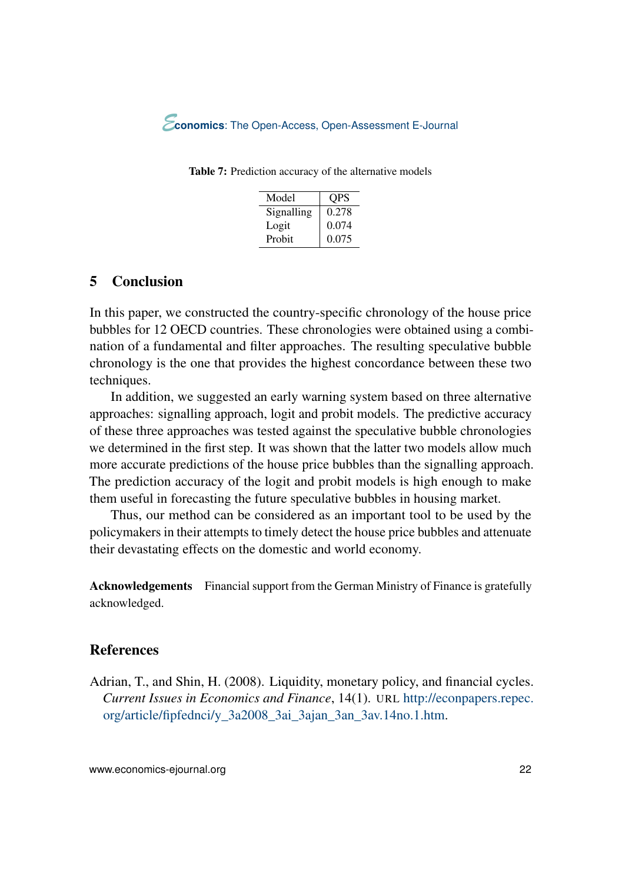| Model      | OPS   |
|------------|-------|
| Signalling | 0.278 |
| Logit      | 0.074 |
| Probit     | 0.075 |

<span id="page-21-0"></span>Table 7: Prediction accuracy of the alternative models

## 5 Conclusion

In this paper, we constructed the country-specific chronology of the house price bubbles for 12 OECD countries. These chronologies were obtained using a combination of a fundamental and filter approaches. The resulting speculative bubble chronology is the one that provides the highest concordance between these two techniques.

In addition, we suggested an early warning system based on three alternative approaches: signalling approach, logit and probit models. The predictive accuracy of these three approaches was tested against the speculative bubble chronologies we determined in the first step. It was shown that the latter two models allow much more accurate predictions of the house price bubbles than the signalling approach. The prediction accuracy of the logit and probit models is high enough to make them useful in forecasting the future speculative bubbles in housing market.

Thus, our method can be considered as an important tool to be used by the policymakers in their attempts to timely detect the house price bubbles and attenuate their devastating effects on the domestic and world economy.

Acknowledgements Financial support from the German Ministry of Finance is gratefully acknowledged.

## References

Adrian, T., and Shin, H. (2008). Liquidity, monetary policy, and financial cycles. *Current Issues in Economics and Finance*, 14(1). URL [http://econpapers.repec.](http://econpapers.repec.org/article/fipfednci/y_3a2008_3ai_3ajan_3an_3av.14no.1.htm) [org/article/fipfednci/y\\_3a2008\\_3ai\\_3ajan\\_3an\\_3av.14no.1.htm.](http://econpapers.repec.org/article/fipfednci/y_3a2008_3ai_3ajan_3an_3av.14no.1.htm)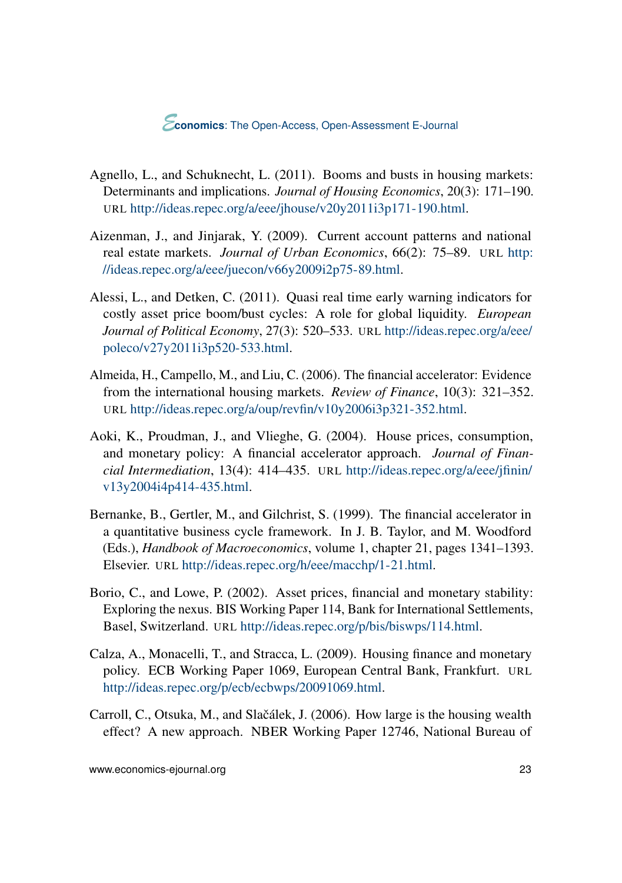- <span id="page-22-0"></span>Agnello, L., and Schuknecht, L. (2011). Booms and busts in housing markets: Determinants and implications. *Journal of Housing Economics*, 20(3): 171–190. URL [http://ideas.repec.org/a/eee/jhouse/v20y2011i3p171-190.html.](http://ideas.repec.org/a/eee/jhouse/v20y2011i3p171-190.html)
- Aizenman, J., and Jinjarak, Y. (2009). Current account patterns and national real estate markets. *Journal of Urban Economics*, 66(2): 75–89. URL [http:](http://ideas.repec.org/a/eee/juecon/v66y2009i2p75-89.html) [//ideas.repec.org/a/eee/juecon/v66y2009i2p75-89.html.](http://ideas.repec.org/a/eee/juecon/v66y2009i2p75-89.html)
- Alessi, L., and Detken, C. (2011). Quasi real time early warning indicators for costly asset price boom/bust cycles: A role for global liquidity. *European Journal of Political Economy*, 27(3): 520–533. URL [http://ideas.repec.org/a/eee/](http://ideas.repec.org/a/eee/poleco/v27y2011i3p520-533.html) [poleco/v27y2011i3p520-533.html.](http://ideas.repec.org/a/eee/poleco/v27y2011i3p520-533.html)
- Almeida, H., Campello, M., and Liu, C. (2006). The financial accelerator: Evidence from the international housing markets. *Review of Finance*, 10(3): 321–352. URL [http://ideas.repec.org/a/oup/revfin/v10y2006i3p321-352.html.](http://ideas.repec.org/a/oup/revfin/v10y2006i3p321-352.html)
- Aoki, K., Proudman, J., and Vlieghe, G. (2004). House prices, consumption, and monetary policy: A financial accelerator approach. *Journal of Financial Intermediation*, 13(4): 414–435. URL [http://ideas.repec.org/a/eee/jfinin/](http://ideas.repec.org/a/eee/jfinin/v13y2004i4p414-435.html) [v13y2004i4p414-435.html.](http://ideas.repec.org/a/eee/jfinin/v13y2004i4p414-435.html)
- Bernanke, B., Gertler, M., and Gilchrist, S. (1999). The financial accelerator in a quantitative business cycle framework. In J. B. Taylor, and M. Woodford (Eds.), *Handbook of Macroeconomics*, volume 1, chapter 21, pages 1341–1393. Elsevier. URL [http://ideas.repec.org/h/eee/macchp/1-21.html.](http://ideas.repec.org/h/eee/macchp/1-21.html)
- Borio, C., and Lowe, P. (2002). Asset prices, financial and monetary stability: Exploring the nexus. BIS Working Paper 114, Bank for International Settlements, Basel, Switzerland. URL [http://ideas.repec.org/p/bis/biswps/114.html.](http://ideas.repec.org/p/bis/biswps/114.html)
- Calza, A., Monacelli, T., and Stracca, L. (2009). Housing finance and monetary policy. ECB Working Paper 1069, European Central Bank, Frankfurt. URL [http://ideas.repec.org/p/ecb/ecbwps/20091069.html.](http://ideas.repec.org/p/ecb/ecbwps/20091069.html)
- Carroll, C., Otsuka, M., and Slačálek, J. (2006). How large is the housing wealth effect? A new approach. NBER Working Paper 12746, National Bureau of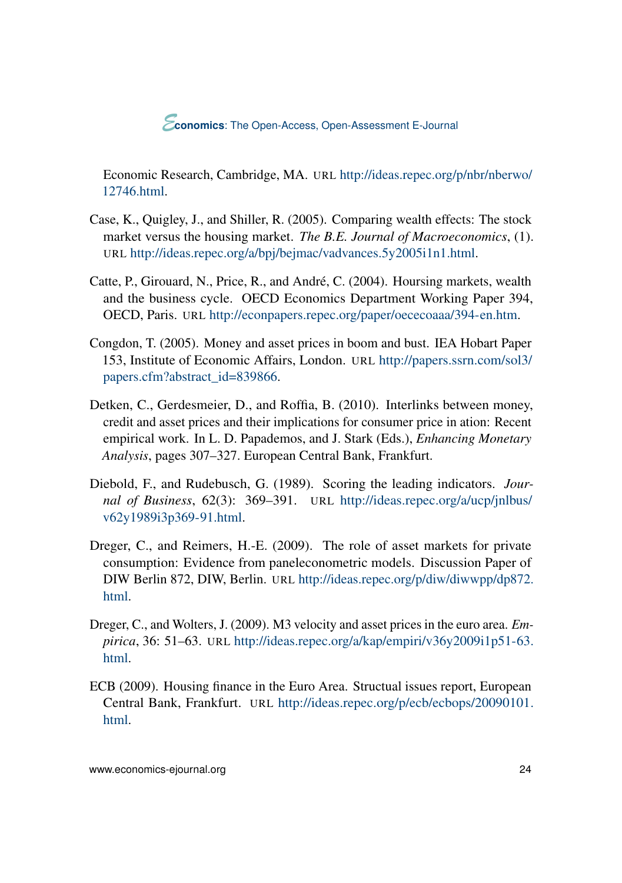<span id="page-23-0"></span>Economic Research, Cambridge, MA. URL [http://ideas.repec.org/p/nbr/nberwo/](http://ideas.repec.org/p/nbr/nberwo/12746.html) [12746.html.](http://ideas.repec.org/p/nbr/nberwo/12746.html)

- Case, K., Quigley, J., and Shiller, R. (2005). Comparing wealth effects: The stock market versus the housing market. *The B.E. Journal of Macroeconomics*, (1). URL [http://ideas.repec.org/a/bpj/bejmac/vadvances.5y2005i1n1.html.](http://ideas.repec.org/a/bpj/bejmac/vadvances.5y2005i1n1.html)
- Catte, P., Girouard, N., Price, R., and André, C. (2004). Hoursing markets, wealth and the business cycle. OECD Economics Department Working Paper 394, OECD, Paris. URL [http://econpapers.repec.org/paper/oececoaaa/394-en.htm.](http://econpapers.repec.org/paper/oececoaaa/394-en.htm)
- Congdon, T. (2005). Money and asset prices in boom and bust. IEA Hobart Paper 153, Institute of Economic Affairs, London. URL [http://papers.ssrn.com/sol3/](http://papers.ssrn.com/sol3/papers.cfm?abstract_id=839866) [papers.cfm?abstract\\_id=839866.](http://papers.ssrn.com/sol3/papers.cfm?abstract_id=839866)
- Detken, C., Gerdesmeier, D., and Roffia, B. (2010). Interlinks between money, credit and asset prices and their implications for consumer price in ation: Recent empirical work. In L. D. Papademos, and J. Stark (Eds.), *Enhancing Monetary Analysis*, pages 307–327. European Central Bank, Frankfurt.
- Diebold, F., and Rudebusch, G. (1989). Scoring the leading indicators. *Journal of Business*, 62(3): 369–391. URL [http://ideas.repec.org/a/ucp/jnlbus/](http://ideas.repec.org/a/ucp/jnlbus/v62y1989i3p369-91.html) [v62y1989i3p369-91.html.](http://ideas.repec.org/a/ucp/jnlbus/v62y1989i3p369-91.html)
- Dreger, C., and Reimers, H.-E. (2009). The role of asset markets for private consumption: Evidence from paneleconometric models. Discussion Paper of DIW Berlin 872, DIW, Berlin. URL [http://ideas.repec.org/p/diw/diwwpp/dp872.](http://ideas.repec.org/p/diw/diwwpp/dp872.html) [html.](http://ideas.repec.org/p/diw/diwwpp/dp872.html)
- Dreger, C., and Wolters, J. (2009). M3 velocity and asset prices in the euro area. *Empirica*, 36: 51–63. URL [http://ideas.repec.org/a/kap/empiri/v36y2009i1p51-63.](http://ideas.repec.org/a/kap/empiri/v36y2009i1p51-63.html) [html.](http://ideas.repec.org/a/kap/empiri/v36y2009i1p51-63.html)
- ECB (2009). Housing finance in the Euro Area. Structual issues report, European Central Bank, Frankfurt. URL [http://ideas.repec.org/p/ecb/ecbops/20090101.](http://ideas.repec.org/p/ecb/ecbops/20090101.html) [html.](http://ideas.repec.org/p/ecb/ecbops/20090101.html)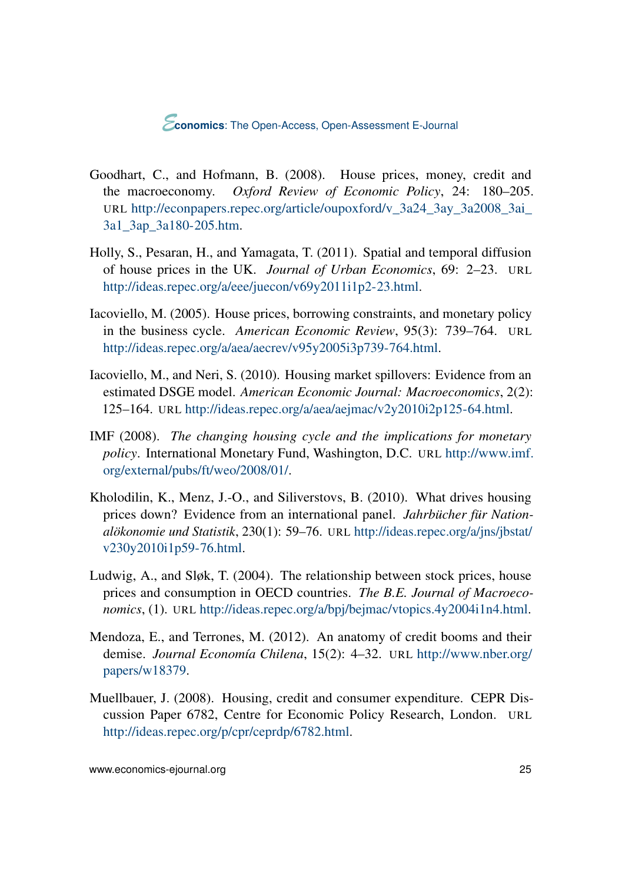- <span id="page-24-0"></span>Goodhart, C., and Hofmann, B. (2008). House prices, money, credit and the macroeconomy. *Oxford Review of Economic Policy*, 24: 180–205. URL [http://econpapers.repec.org/article/oupoxford/v\\_3a24\\_3ay\\_3a2008\\_3ai\\_](http://econpapers.repec.org/article/oupoxford/v_3a24_3ay_3a2008_3ai_3a1_3ap_3a180-205.htm) [3a1\\_3ap\\_3a180-205.htm.](http://econpapers.repec.org/article/oupoxford/v_3a24_3ay_3a2008_3ai_3a1_3ap_3a180-205.htm)
- Holly, S., Pesaran, H., and Yamagata, T. (2011). Spatial and temporal diffusion of house prices in the UK. *Journal of Urban Economics*, 69: 2–23. URL [http://ideas.repec.org/a/eee/juecon/v69y2011i1p2-23.html.](http://ideas.repec.org/a/eee/juecon/v69y2011i1p2-23.html)
- Iacoviello, M. (2005). House prices, borrowing constraints, and monetary policy in the business cycle. *American Economic Review*, 95(3): 739–764. URL [http://ideas.repec.org/a/aea/aecrev/v95y2005i3p739-764.html.](http://ideas.repec.org/a/aea/aecrev/v95y2005i3p739-764.html)
- Iacoviello, M., and Neri, S. (2010). Housing market spillovers: Evidence from an estimated DSGE model. *American Economic Journal: Macroeconomics*, 2(2): 125–164. URL [http://ideas.repec.org/a/aea/aejmac/v2y2010i2p125-64.html.](http://ideas.repec.org/a/aea/aejmac/v2y2010i2p125-64.html)
- IMF (2008). *The changing housing cycle and the implications for monetary policy*. International Monetary Fund, Washington, D.C. URL [http://www.imf.](http://www.imf.org/external/pubs/ft/weo/2008/01/) [org/external/pubs/ft/weo/2008/01/.](http://www.imf.org/external/pubs/ft/weo/2008/01/)
- Kholodilin, K., Menz, J.-O., and Siliverstovs, B. (2010). What drives housing prices down? Evidence from an international panel. *Jahrbücher für Nationalökonomie und Statistik*, 230(1): 59–76. URL [http://ideas.repec.org/a/jns/jbstat/](http://ideas.repec.org/a/jns/jbstat/v230y2010i1p59-76.html) [v230y2010i1p59-76.html.](http://ideas.repec.org/a/jns/jbstat/v230y2010i1p59-76.html)
- Ludwig, A., and Sløk, T. (2004). The relationship between stock prices, house prices and consumption in OECD countries. *The B.E. Journal of Macroeconomics*, (1). URL [http://ideas.repec.org/a/bpj/bejmac/vtopics.4y2004i1n4.html.](http://ideas.repec.org/a/bpj/bejmac/vtopics.4y2004i1n4.html)
- Mendoza, E., and Terrones, M. (2012). An anatomy of credit booms and their demise. *Journal Economía Chilena*, 15(2): 4–32. URL [http://www.nber.org/](http://www.nber.org/papers/w18379) [papers/w18379.](http://www.nber.org/papers/w18379)
- Muellbauer, J. (2008). Housing, credit and consumer expenditure. CEPR Discussion Paper 6782, Centre for Economic Policy Research, London. URL [http://ideas.repec.org/p/cpr/ceprdp/6782.html.](http://ideas.repec.org/p/cpr/ceprdp/6782.html)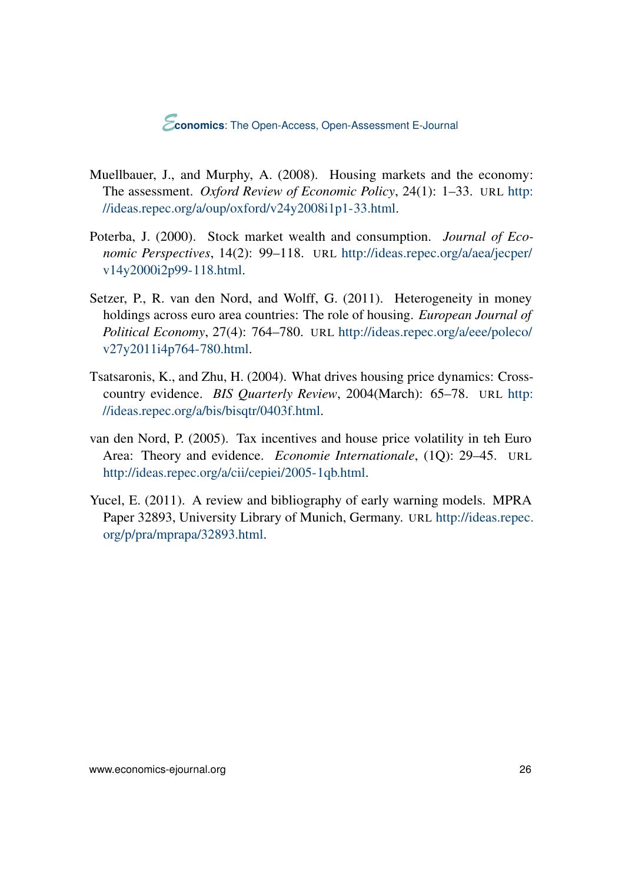- <span id="page-25-0"></span>Muellbauer, J., and Murphy, A. (2008). Housing markets and the economy: The assessment. *Oxford Review of Economic Policy*, 24(1): 1–33. URL [http:](http://ideas.repec.org/a/oup/oxford/v24y2008i1p1-33.html) [//ideas.repec.org/a/oup/oxford/v24y2008i1p1-33.html.](http://ideas.repec.org/a/oup/oxford/v24y2008i1p1-33.html)
- Poterba, J. (2000). Stock market wealth and consumption. *Journal of Economic Perspectives*, 14(2): 99–118. URL [http://ideas.repec.org/a/aea/jecper/](http://ideas.repec.org/a/aea/jecper/v14y2000i2p99-118.html) [v14y2000i2p99-118.html.](http://ideas.repec.org/a/aea/jecper/v14y2000i2p99-118.html)
- Setzer, P., R. van den Nord, and Wolff, G. (2011). Heterogeneity in money holdings across euro area countries: The role of housing. *European Journal of Political Economy*, 27(4): 764–780. URL [http://ideas.repec.org/a/eee/poleco/](http://ideas.repec.org/a/eee/poleco/v27y2011i4p764-780.html) [v27y2011i4p764-780.html.](http://ideas.repec.org/a/eee/poleco/v27y2011i4p764-780.html)
- Tsatsaronis, K., and Zhu, H. (2004). What drives housing price dynamics: Crosscountry evidence. *BIS Quarterly Review*, 2004(March): 65–78. URL [http:](http://ideas.repec.org/a/bis/bisqtr/0403f.html) [//ideas.repec.org/a/bis/bisqtr/0403f.html.](http://ideas.repec.org/a/bis/bisqtr/0403f.html)
- van den Nord, P. (2005). Tax incentives and house price volatility in teh Euro Area: Theory and evidence. *Economie Internationale*, (1Q): 29–45. URL [http://ideas.repec.org/a/cii/cepiei/2005-1qb.html.](http://ideas.repec.org/a/cii/cepiei/2005-1qb.html)
- Yucel, E. (2011). A review and bibliography of early warning models. MPRA Paper 32893, University Library of Munich, Germany. URL [http://ideas.repec.](http://ideas.repec.org/p/pra/mprapa/32893.html) [org/p/pra/mprapa/32893.html.](http://ideas.repec.org/p/pra/mprapa/32893.html)